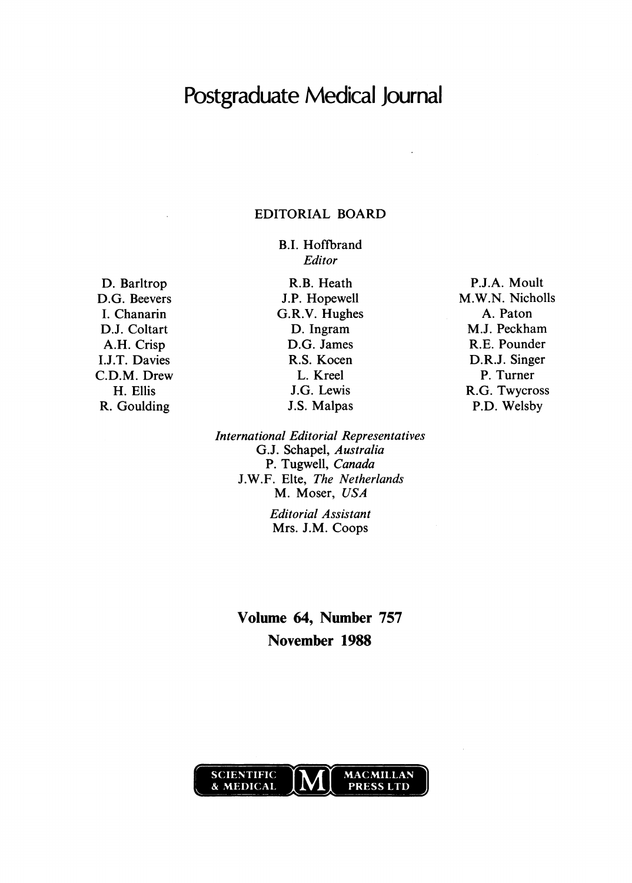# Postgraduate Medical Journal

### EDITORIAL BOARD

B.I. Hoffbrand Editor

D. Barltrop D.G. Beevers I. Chanarin D.J. Coltart A.H. Crisp I.J.T. Davies C.D.M. Drew H. Ellis R. Goulding

R.B. Heath J.P. Hopewell G.R.V. Hughes D. Ingram D.G. James R.S. Kocen L. Kreel J.G. Lewis J.S. Malpas

International Editorial Representatives G.J. Schapel, Australia P. Tugwell, Canada J.W.F. Elte, The Netherlands M. Moser, USA

> Editorial Assistant Mrs. J.M. Coops

Volume 64, Number 757 November 1988



P.J.A. Moult M.W.N. Nicholls A. Paton M.J. Peckham R.E. Pounder D.R.J. Singer P. Turner R.G. Twycross P.D. Welsby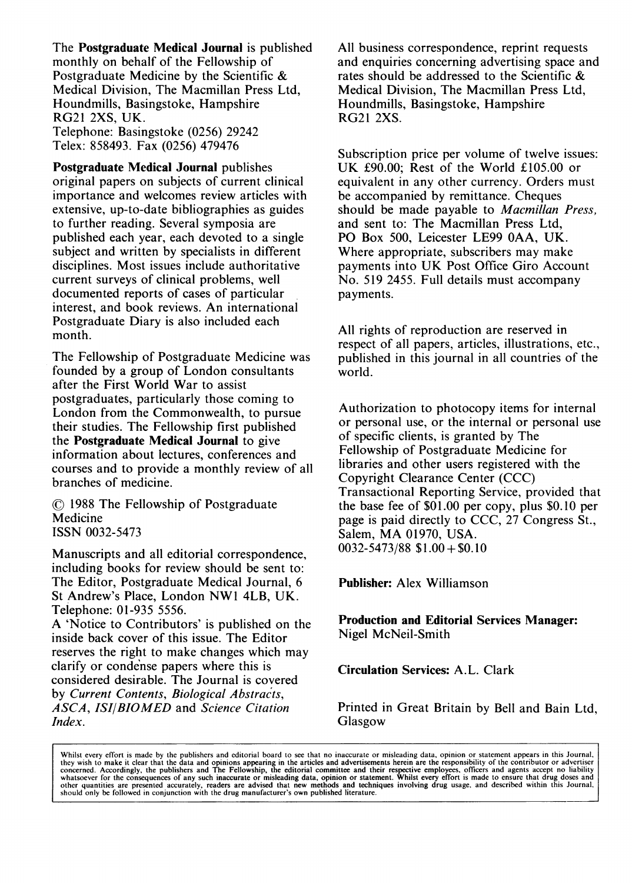The Postgraduate Medical Journal is published monthly on behalf of the Fellowship of Postgraduate Medicine by the Scientific & Medical Division, The Macmillan Press Ltd, Houndmills, Basingstoke, Hampshire RG21 2XS, UK. Telephone: Basingstoke (0256) 29242

Telex: 858493. Fax (0256) 479476

Postgraduate Medical Journal publishes original papers on subjects of current clinical importance and welcomes review articles with extensive, up-to-date bibliographies as guides to further reading. Several symposia are published each year, each devoted to a single subject and written by specialists in different disciplines. Most issues include authoritative current surveys of clinical problems, well documented reports of cases of particular interest, and book reviews. An international Postgraduate Diary is also included each month.

The Fellowship of Postgraduate Medicine was founded by a group of London consultants after the First World War to assist postgraduates, particularly those coming to London from the Commonwealth, to pursue their studies. The Fellowship first published the Postgraduate Medical Journal to give information about lectures, conferences and courses and to provide a monthly review of all branches of medicine.

© <sup>1988</sup> The Fellowship of Postgraduate Medicine ISSN 0032-5473

Manuscripts and all editorial correspondence, including books for review should be sent to: The Editor, Postgraduate Medical Journal, 6 St Andrew's Place, London NWl 4LB, UK. Telephone: 01-935 5556.

A 'Notice to Contributors' is published on the inside back cover of this issue. The Editor reserves the right to make changes which may clarify or conde'nse papers where this is considered desirable. The Journal is covered by Current Contents, Biological Abstracts, ASCA, ISI/BIOMED and Science Citation Index.

All business correspondence, reprint requests and enquiries concerning advertising space and rates should be addressed to the Scientific & Medical Division, The Macmillan Press Ltd, Houndmills, Basingstoke, Hampshire RG21 2XS.

Subscription price per volume of twelve issues: UK £90.00; Rest of the World £105.00 or equivalent in any other currency. Orders must be accompanied by remittance. Cheques should be made payable to Macmillan Press, and sent to: The Macmillan Press Ltd, PO Box 500, Leicester LE99 OAA, UK. Where appropriate, subscribers may make payments into UK Post Office Giro Account No. 519 2455. Full details must accompany payments.

All rights of reproduction are reserved in respect of all papers, articles, illustrations, etc., published in this journal in all countries of the world.

Authorization to photocopy items for internal or personal use, or the internal or personal use of specific clients, is granted by The Fellowship of Postgraduate Medicine for libraries and other users registered with the Copyright Clearance Center (CCC) Transactional Reporting Service, provided that the base fee of \$01.00 per copy, plus \$0.10 per page is paid directly to CCC, 27 Congress St., Salem, MA 01970, USA.  $0032 - 5473/88$  \$1.00 + \$0.10

Publisher: Alex Williamson

Production and Editorial Services Manager: Nigel McNeil-Smith

Circulation Services: A.L. Clark

Printed in Great Britain by Bell and Bain Ltd, Glasgow

Whilst every effort is made by the publishers and editorial board to see that no inaccurate or misleading data, opinion or statement appears in this Journal, they wish to make it clear that the data and opinions appearing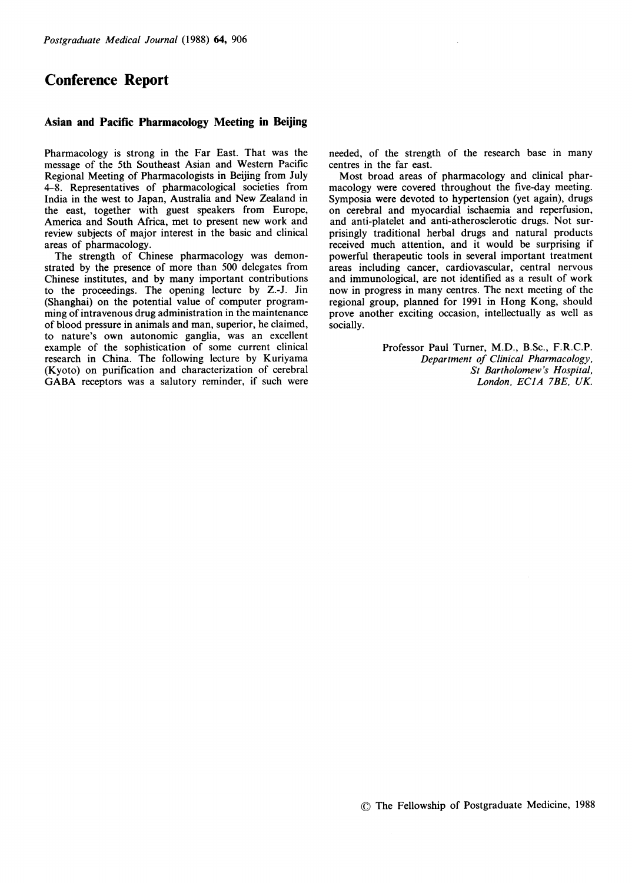# Conference Report

#### Asian and Pacific Pharmacology Meeting in Beijing

Pharmacology is strong in the Far East. That was the message of the 5th Southeast Asian and Western Pacific Regional Meeting of Pharmacologists in Beijing from July 4-8. Representatives of pharmacological societies from India in the west to Japan, Australia and New Zealand in the east, together with guest speakers from Europe, America and South Africa, met to present new work and review subjects of major interest in the basic and clinical areas of pharmacology.

The strength of Chinese pharmacology was demonstrated by the presence of more than 500 delegates from Chinese institutes, and by many important contributions to the proceedings. The opening lecture by Z.-J. Jin (Shanghai) on the potential value of computer programming of intravenous drug administration in the maintenance of blood pressure in animals and man, superior, he claimed, to nature's own autonomic ganglia, was an excellent example of the sophistication of some current clinical research in China. The following lecture by Kuriyama (Kyoto) on purification and characterization of cerebral GABA receptors was <sup>a</sup> salutory reminder, if such were needed, of the strength of the research base in many centres in the far east.

Most broad areas of pharmacology and clinical pharmacology were covered throughout the five-day meeting. Symposia were devoted to hypertension (yet again), drugs on cerebral and myocardial ischaemia and reperfusion, and anti-platelet and anti-atherosclerotic drugs. Not surprisingly traditional herbal drugs and natural products received much attention, and it would be surprising if powerful therapeutic tools in several important treatment areas including cancer, cardiovascular, central nervous and immunological, are not identified as a result of work now in progress in many centres. The next meeting of the regional group, planned for 1991 in Hong Kong, should prove another exciting occasion, intellectually as well as socially.

> Professor Paul Turner, M.D., B.Sc., F.R.C.P. Department of Clinical Pharmacology, St Bartholomew's Hospital, London, ECIA 7BE, UK.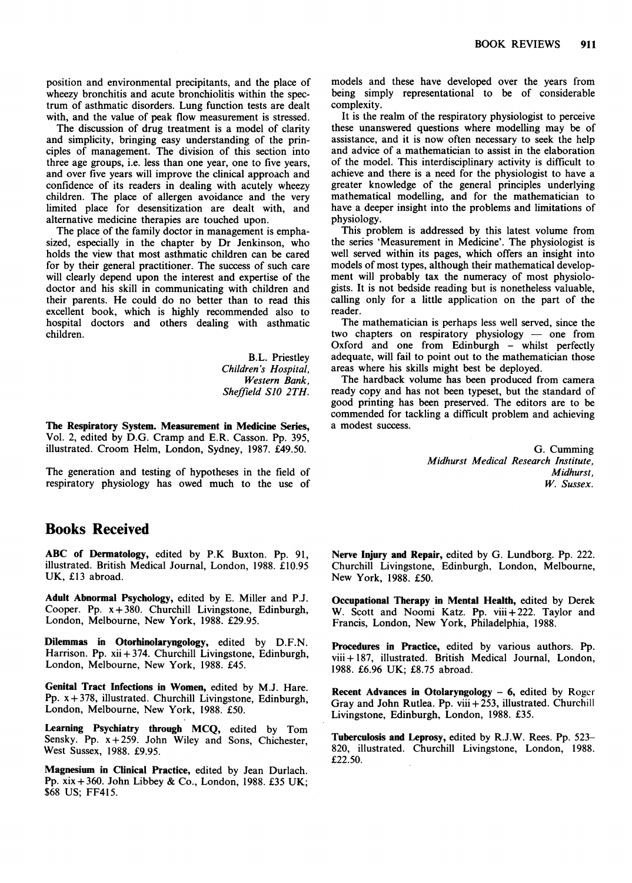position and environmental precipitants, and the place of wheezy bronchitis and acute bronchiolitis within the spectrum of asthmatic disorders. Lung function tests are dealt with, and the value of peak flow measurement is stressed.

The discussion of drug treatment is a model of clarity and simplicity, bringing easy understanding of the principles of management. The division of this section into three age groups, i.e. less than one year, one to five years, and over five years will improve the clinical approach and confidence of its readers in dealing with acutely wheezy children. The place of allergen avoidance and the very limited place for desensitization are dealt with, and alternative medicine therapies are touched upon.

The place of the family doctor in management is emphasized, especially in the chapter by Dr Jenkinson, who holds the view that most asthmatic children can be cared for by their general practitioner. The success of such care will clearly depend upon the interest and expertise of the doctor and his skill in communicating with children and their parents. He could do no better than to read this excellent book, which is highly recommended also to hospital doctors and others dealing with asthmatic children.

> B.L. Priestley Children's Hospital, Western Bank, Sheffield SJO 2TH.

The Respiratory System. Measurement in Medicine Series, Vol. 2, edited by D.G. Cramp and E.R. Casson. Pp. 395, illustrated. Croom Helm, London, Sydney, 1987. £49.50.

The generation and testing of hypotheses in the field of respiratory physiology has owed much to the use of

### Books Received

ABC of Dermatology, edited by P.K Buxton. Pp. 91, illustrated. British Medical Journal, London, 1988. £10.95 UK, £13 abroad.

Adult Abnormal Psychology, edited by E. Miller and P.J. Cooper. Pp.  $x + 380$ . Churchill Livingstone, Edinburgh, London, Melbourne, New York, 1988. £29.95.

Dilemmas in Otorhinolaryngology, edited by D.F.N. Harrison. Pp. xii + 374. Churchill Livingstone, Edinburgh, London, Melbourne, New York, 1988. £45.

Genital Tract Infections in Women, edited by M.J. Hare. Pp. x+378, illustrated. Churchill Livingstone, Edinburgh, London, Melbourne, New York, 1988. £50.

Learning Psychiatry through MCQ, edited by Tom Sensky. Pp.  $x + 259$ . John Wiley and Sons, Chichester, West Sussex, 1988. £9.95.

Magnesium in Clinical Practice, edited by Jean Durlach. Pp. xix +360. John Libbey & Co., London, 1988. £35 UK; \$68 US; FF415.

models and these have developed over the years from being simply representational to be of considerable complexity.

It is the realm of the respiratory physiologist to perceive these unanswered questions where modelling may be of assistance, and it is now often necessary to seek the help and advice of a mathematician to assist in the elaboration of the model. This interdisciplinary activity is difficult to achieve and there is a need for the physiologist to have a greater knowledge of the general principles underlying mathematical modelling, and for the mathematician to have a deeper insight into the problems and limitations of physiology.

This problem is addressed by this latest volume from the series 'Measurement in Medicine'. The physiologist is well served within its pages, which offers an insight into models of most types, although their mathematical development will probably tax the numeracy of most physiologists. It is not bedside reading but is nonetheless valuable, calling only for a little application on the part of the reader.

The mathematician is perhaps less well served, since the two chapters on respiratory physiology - one from Oxford and one from Edinburgh - whilst perfectly adequate, will fail to point out to the mathematician those areas where his skills might best be deployed.

The hardback volume has been produced from camera ready copy and has not been typeset, but the standard of good printing has been preserved. The editors are to be commended for tackling a difficult problem and achieving a modest success.

> G. Cumming Midhurst Medical Research Institute, Midhurst, W. Sussex.

Nerve Injury and Repair, edited by G. Lundborg. Pp. 222. Churchill Livingstone, Edinburgh, London, Melbourne, New York, 1988. £50.

Occupational Therapy in Mental Health, edited by Derek W. Scott and Noomi Katz. Pp. viii + 222. Taylor and Francis, London, New York, Philadelphia, 1988.

Procedures in Practice, edited by various authors. Pp. viii + 187, illustrated. British Medical Journal, London, 1988. £6.96 UK; £8.75 abroad.

Recent Advances in Otolaryngology  $-6$ , edited by Roger Gray and John Rutlea. Pp. viii + 253, illustrated. Churchill Livingstone, Edinburgh, London, 1988. £35.

Tuberculosis and Leprosy, edited by R.J.W. Rees. Pp. 523- 820, illustrated. Churchill Livingstone, London, 1988. £22.50.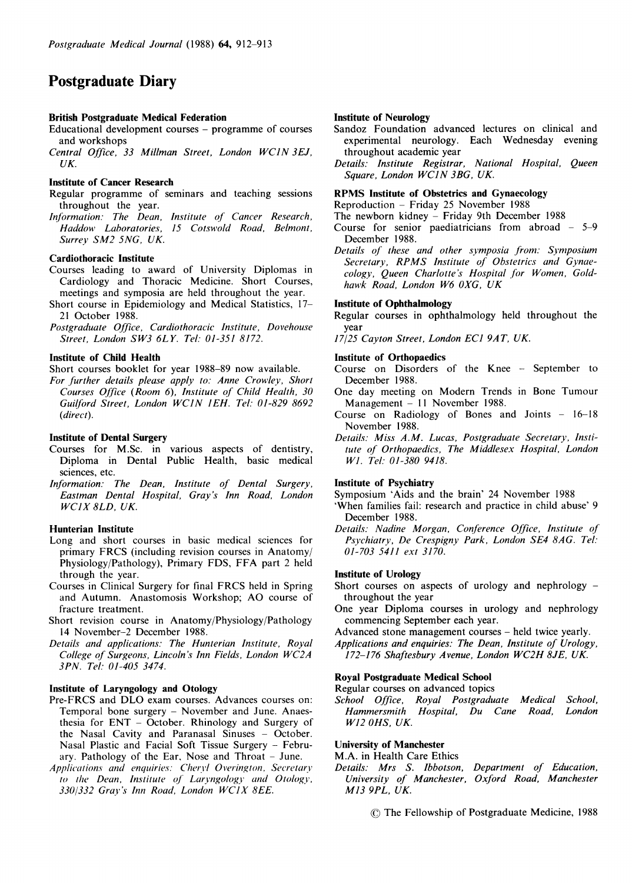# Postgraduate Diary

#### British Postgraduate Medical Federation

Educational development courses - programme of courses and workshops

Central Office, <sup>33</sup> Millman Street, London WCIN 3EJ, UK.

#### Institute of Cancer Research

Regular programme of seminars and teaching sessions throughout the year.

Information: The Dean, Institute of Cancer Research, Haddow Laboratories, 15 Cotswold Road, Belmont, Surrey SM2 SNG, UK.

#### Cardiothoracic Institute

- Courses leading to award of University Diplomas in Cardiology and Thoracic Medicine. Short Courses, meetings and symposia are held throughout the year.
- Short course in Epidemiology and Medical Statistics, 17- 21 October 1988.
- Postgraduate Qffice, Cardiothoracic Institute, Dovehouse Street, London SW3 6LY. Tel: 01-351 8172.

#### Institute of Child Health

Short courses booklet for year 1988-89 now available.

For further details please apply to: Anne Crowley, Short Courses Office (Room 6), Institute of Child Health, 30 Gui/ford Street, London WCJN IEH. Tel: 01-829 8692 (direct).

#### Institute of Dental Surgery

- Courses for M.Sc. in various aspects of dentistry, Diploma in Dental Public Health, basic medical sciences, etc.
- Information: The Dean, Institute of Dental Surgery, Eastman Dental Hospital, Gray's Inn Road, London WC1X 8LD, UK.

#### Hunterian Institute

- Long and short courses in basic medical sciences for primary FRCS (including revision courses in Anatomy/ Physiology/Pathology), Primary FDS, FFA part <sup>2</sup> held through the year.
- Courses in Clinical Surgery for final FRCS held in Spring and Autumn. Anastomosis Workshop; AO course of fracture treatment.
- Short revision course in Anatomy/Physiology/Pathology 14 November-2 December 1988.
- Details and applications: The Hunterian Institute, Royal College of Surgeons, Lincoln's Inn Fields, London WC2A 3PN. Tel: 01-405 3474.

#### Institute of Laryngology and Otology

- Pre-FRCS and DLO exam courses. Advances courses on: Temporal bone surgery - November and June. Anaesthesia for ENT - October. Rhinology and Surgery of the Nasal Cavity and Paranasal Sinuses - October. Nasal Plastic and Facial Soft Tissue Surgery - February. Pathology of the Ear, Nose and Throat  $-$  June.
- Applications and enquiries: Cheryl Overington, Secretary to the Dean, Institute of Laryngology and Otology, 330/332 Gray's Inn Road, London WC1X 8EE.

#### Institute of Neurology

- Sandoz Foundation advanced lectures on clinical and experimental neurology. Each Wednesday evening throughout academic year
- Details: Institute Registrar, National Hospital, Queen Square, London WCJN 3BG, UK.

#### RPMS Institute of Obstetrics and Gynaecology

Reproduction - Friday 25 November 1988

The newborn kidney - Friday 9th December 1988

- Course for senior paediatricians from abroad  $-5-9$ December 1988.
- Details of these and other symposia from: Symposium Secretary, RPMS Institute of Obstetrics and Gynaecology, Queen Charlotte's Hospital for Women, Goldhawk Road, London W6 0XG, UK

#### Institute of Ophthalmology

Regular courses in ophthalmology held throughout the year

17/25 Cayton Street, London EC] 9AT, UK.

#### Institute of Orthopaedics

- Course on Disorders of the Knee September to December 1988.
- One day meeting on Modern Trends in Bone Tumour Management - 11 November 1988.
- Course on Radiology of Bones and Joints 16-18 November 1988.
- Details: Miss A.M. Lucas, Postgraduate Secretary, Institute of Orthopaedics, The Middlesex Hospital, London Wl. Tel: 01-380 9418.

#### Institute of Psychiatry

Symposium 'Aids and the brain' 24 November 1988 'When families fail: research and practice in child abuse' 9

- December 1988.
- Details: Nadine Morgan, Conference Office, Institute of Psychiatry, De Crespigny Park, London SE4 8AG. Tel: 01-703 5411 ext 3170.

#### Institute of Urology

Short courses on aspects of urology and nephrology throughout the year

One year Diploma courses in urology and nephrology commencing September each year.

Advanced stone management courses - held twice yearly.

Applications and enquiries: The Dean, Institute of Urology, 172-176 Shaftesbury Avenue, London WC2H 8JE, UK.

#### Royal Postgraduate Medical School

Regular courses on advanced topics

School Office, Royal Postgraduate Medical School, Hammersmith Hospital, Du Cane Road, London W12 OHS, UK.

#### University of Manchester

M.A. in Health Care Ethics

- Details: Mrs S. Ibbotson, Department of Education, University of Manchester, Oxford Road, Manchester M13 9PL, UK.
	- © The Fellowship of Postgraduate Medicine, <sup>1988</sup>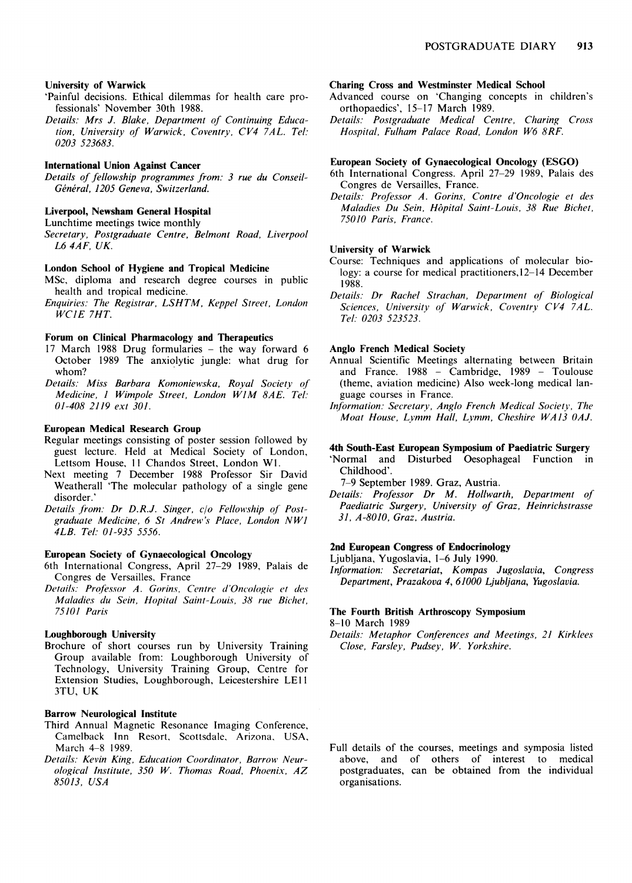#### University of Warwick

- 'Painful decisions. Ethical dilemmas for health care professionals' November 30th 1988.
- Details: Mrs J. Blake, Department of Continuing Education, University of Warwick, Coventry, CV4 7AL. Tel: 0203 523683.

#### International Union Against Cancer

Details of fellowship programmes from: 3 rue du Conseil-Général, 1205 Geneva, Switzerland.

#### Liverpool, Newsham General Hospital

Lunchtime meetings twice monthly

Secretary, Postgraduate Centre, Belmont Road, Liverpool L6 4AF, UK.

#### London School of Hygiene and Tropical Medicine

- MSc, diploma and research degree courses in public health and tropical medicine.
- Enquiries: The Registrar, LSHTM, Keppel Street, London WCIE 7HT.

#### Forum on Clinical Pharmacology and Therapeutics

- 17 March 1988 Drug formularies the way forward 6 October 1989 The anxiolytic jungle: what drug for whom?
- Details: Miss Barbara Komoniewska, Royal Society of Medicine, <sup>1</sup> Wimpole Street, London WIM 8AE. Tel: 01-408 2119 ext 301.

#### European Medical Research Group

- Regular meetings consisting of poster session followed by guest lecture. Held at Medical Society of London, Lettsom House, <sup>11</sup> Chandos Street, London WI.
- Next meeting 7 December 1988 Professor Sir David Weatherall 'The molecular pathology of a single gene disorder.'
- Details from: Dr D.R.J. Singer, c/o Fellowship of Postgraduate Medicine, 6 St Andrew's Place, London NW1 4LB. Tel: 01-935 5556.

#### European Society of Gynaecological Oncology

- 6th International Congress, April 27-29 1989, Palais de Congres de Versailles, France
- Details: Professor A. Gorins, Centre d'Oncologie et des Maladies du Sein, Hopital Saint-Louis, 38 rue Bichet, 75101 Paris

#### Loughborough University

Brochure of short courses run by University Training Group available from: Loughborough University of Technology, University Training Group, Centre for Extension Studies, Loughborough, Leicestershire LEI <sup>I</sup> 3TU, UK

#### Barrow Neurological Institute

- Third Annual Magnetic Resonance Imaging Conference, Camelback Inn Resort, Scottsdale, Arizona, USA, March 4-8 1989.
- Details: Kevin King, Education Coordinator, Barrow Neurological Institute, 350 W. Thomas Road, Phoenix, AZ 85013, USA

#### Charing Cross and Westminster Medical School

- Advanced course on 'Changing concepts in children's orthopaedics', 15-17 March 1989.
- Details: Postgraduate Medical Centre, Charing Cross Hospital, Fulham Palace Road, London W6 8RF.

#### European Society of Gynaecological Oncology (ESGO)

- 6th International Congress. April 27-29 1989, Palais des Congres de Versailles, France.
- Details: Professor A. Gorins, Contre d'Oncologie et des Maladies Du Sein, Hopital Saint-Louis, 38 Rue Bichet, 75010 Paris, France.

#### University of Warwick

- Course: Techniques and applications of molecular biology: a course for medical practitioners,12-14 December 1988.
- Details: Dr Rachel Strachan, Department of Biological Sciences, University of Warwick, Coventry CV4 7AL. Tel. 0203 523523.

#### Anglo French Medical Society

- Annual Scientific Meetings alternating between Britain and France. 1988 - Cambridge, 1989 - Toulouse (theme, aviation medicine) Also week-long medical language courses in France.
- Information: Secretary, Anglo French Medical Society, The Moat House, Lymm Hall, Lvmm, Cheshire WA13 OAJ.

#### 4th South-East European Symposium of Paediatric Surgery

'Normal and Disturbed Oesophageal Function in Childhood'.

7-9 September 1989. Graz, Austria.

Details: Professor Dr M. Hollwarth, Department of Paediatric Surgery, University of Graz, Heinrichstrasse 31, A-8010, Graz, Austria.

#### 2nd European Congress of Endocrinology

Ljubljana, Yugoslavia, 1-6 July 1990.

Information: Secretariat, Kompas Jugoslavia, Congress Department, Prazakova 4, 61000 Ljubljana, Yugoslavia.

# The Fourth British Arthroscopy Symposium

8-10 March 1989

Details: Metaphor Conferences and Meetings, 21 Kirklees Close, Farsley, Pudsey, W. Yorkshire.

Full details of the courses, meetings and symposia listed above, and of others of interest to medical postgraduates, can be obtained from the individual organisations.